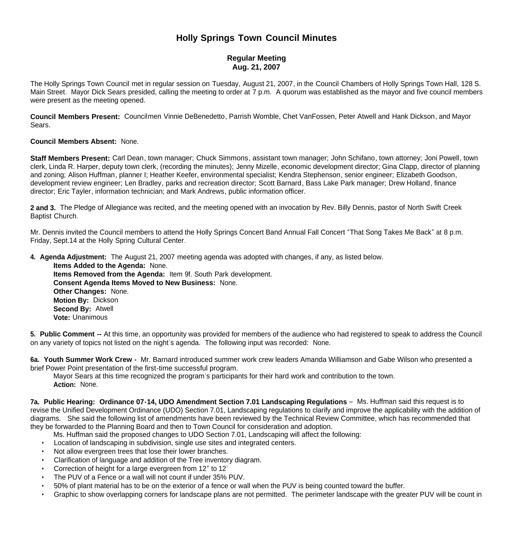# **Holly Springs Town Council Minutes**

## **Regular Meeting Aug. 21, 2007**

The Holly Springs Town Council met in regular session on Tuesday, August 21, 2007, in the Council Chambers of Holly Springs Town Hall, 128 S. Main Street. Mayor Dick Sears presided, calling the meeting to order at 7 p.m. A quorum was established as the mayor and five council members were present as the meeting opened.

**Council Members Present:** Councilmen Vinnie DeBenedetto, Parrish Womble, Chet VanFossen, Peter Atwell and Hank Dickson, and Mayor Sears.

### **Council Members Absent:** None.

**Staff Members Present:** Carl Dean, town manager; Chuck Simmons, assistant town manager; John Schifano, town attorney; Joni Powell, town clerk, Linda R. Harper, deputy town clerk, (recording the minutes); Jenny Mizelle, economic development director; Gina Clapp, director of planning and zoning; Alison Huffman, planner I; Heather Keefer, environmental specialist; Kendra Stephenson, senior engineer; Elizabeth Goodson, development review engineer; Len Bradley, parks and recreation director; Scott Barnard, Bass Lake Park manager; Drew Holland, finance director; Eric Tayler, information technician; and Mark Andrews, public information officer.

**2 and 3.** The Pledge of Allegiance was recited, and the meeting opened with an invocation by Rev. Billy Dennis, pastor of North Swift Creek Baptist Church.

Mr. Dennis invited the Council members to attend the Holly Springs Concert Band Annual Fall Concert "That Song Takes Me Back" at 8 p.m. Friday, Sept.14 at the Holly Spring Cultural Center.

**4. Agenda Adjustment:** The August 21, 2007 meeting agenda was adopted with changes, if any, as listed below.

 **Items Added to the Agenda:** None. **Items Removed from the Agenda:** Item 9f. South Park development. **Consent Agenda Items Moved to New Business:** None. **Other Changes:** None. **Motion By:** Dickson **Second By:** Atwell **Vote:** Unanimous

**5. Public Comment --** At this time, an opportunity was provided for members of the audience who had registered to speak to address the Council on any variety of topics not listed on the night's agenda. The following input was recorded: None.

**6a. Youth Summer Work Crew -** Mr. Barnard introduced summer work crew leaders Amanda Williamson and Gabe Wilson who presented a brief Power Point presentation of the first-time successful program.

Mayor Sears at this time recognized the program's participants for their hard work and contribution to the town. **Action:** None.

**7a. Public Hearing: Ordinance 07-14, UDO Amendment Section 7.01 Landscaping Regulations** – Ms. Huffman said this request is to revise the Unified Development Ordinance (UDO) Section 7.01, Landscaping regulations to clarify and improve the applicability with the addition of diagrams. She said the following list of amendments have been reviewed by the Technical Review Committee, which has recommended that they be forwarded to the Planning Board and then to Town Council for consideration and adoption.

- Ms. Huffman said the proposed changes to UDO Section 7.01, Landscaping will affect the following:
- Location of landscaping in subdivision, single use sites and integrated centers.
- Not allow evergreen trees that lose their lower branches.
- Clarification of language and addition of the Tree inventory diagram.
- Correction of height for a large evergreen from 12" to 12'
- The PUV of a Fence or a wall will not count if under 35% PUV.
- 50% of plant material has to be on the exterior of a fence or wall when the PUV is being counted toward the buffer.
- Graphic to show overlapping corners for landscape plans are not permitted. The perimeter landscape with the greater PUV will be count in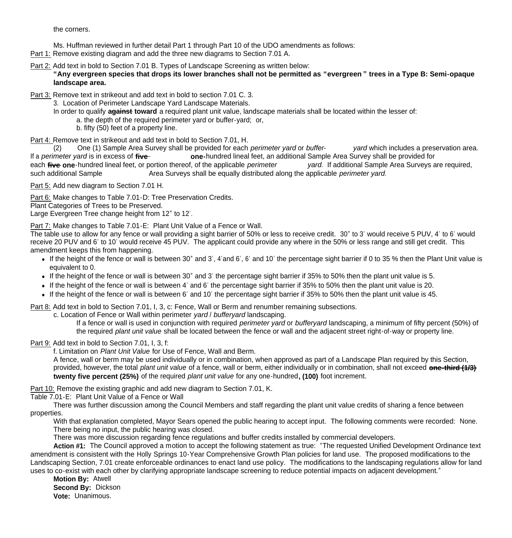the corners.

Ms. Huffman reviewed in further detail Part 1 through Part 10 of the UDO amendments as follows:

Part 1: Remove existing diagram and add the three new diagrams to Section 7.01 A.

Part 2: Add text in bold to Section 7.01 B. Types of Landscape Screening as written below:

**"Any evergreen species that drops its lower branches shall not be permitted as "evergreen " trees in a Type B: Semi-opaque landscape area.**

Part 3: Remove text in strikeout and add text in bold to section 7.01 C. 3.

3. Location of Perimeter Landscape Yard Landscape Materials.

In order to qualify **against toward** a required plant unit value, landscape materials shall be located within the lesser of:

a. the depth of the required perimeter yard or buffer-yard; or,

b. fifty (50) feet of a property line.

Part 4: Remove text in strikeout and add text in bold to Section 7.01, H.

 (2) One (1) Sample Area Survey shall be provided for each *perimeter yard* or *buffer- yard* which includes a preservation area. If a *perimeter vard* is in excess of five one-hundred lineal feet, an additional Sample Area Survey shall be provided for each **five one**-hundred lineal feet, or portion thereof, of the applicable *perimeter yard*. If additional Sample Area Surveys are required,

Area Surveys shall be equally distributed along the applicable *perimeter vard*.

Part 5: Add new diagram to Section 7.01 H.

Part 6: Make changes to Table 7.01-D: Tree Preservation Credits.

Plant Categories of Trees to be Preserved.

Large Evergreen Tree change height from 12" to 12'.

Part 7: Make changes to Table 7.01-E: Plant Unit Value of a Fence or Wall.

The table use to allow for any fence or wall providing a sight barrier of 50% or less to receive credit. 30" to 3' would receive 5 PUV, 4' to 6' would receive 20 PUV and 6' to 10' would receive 45 PUV. The applicant could provide any where in the 50% or less range and still get credit. This amendment keeps this from happening.

- If the height of the fence or wall is between 30" and 3', 4'and 6', 6' and 10' the percentage sight barrier if 0 to 35 % then the Plant Unit value is equivalent to 0.
- If the height of the fence or wall is between 30" and 3' the percentage sight barrier if 35% to 50% then the plant unit value is 5.
- If the height of the fence or wall is between 4' and 6' the percentage sight barrier if 35% to 50% then the plant unit value is 20.
- If the height of the fence or wall is between 6' and 10' the percentage sight barrier if 35% to 50% then the plant unit value is 45.

Part 8: Add text in bold to Section 7.01, I, 3, c: Fence, Wall or Berm and renumber remaining subsections.

c. Location of Fence or Wall within perimeter *yard* / *bufferyard* landscaping.

If a fence or wall is used in conjunction with required *perimeter yard* or *bufferyard* landscaping, a minimum of fifty percent (50%) of the required *plant unit value* shall be located between the fence or wall and the adjacent street right-of-way or property line.

Part 9: Add text in bold to Section 7.01, I, 3, f:

f. Limitation on *Plant Unit Value* for Use of Fence, Wall and Berm.

A fence, wall or berm may be used individually or in combination, when approved as part of a Landscape Plan required by this Section, provided, however, the total *plant unit value* of a fence, wall or berm, either individually or in combination, shall not exceed **one-third (1/3) twenty five percent (25%)** of the required *plant unit value* for any one-hundred**, (100)** foot increment.

Part 10: Remove the existing graphic and add new diagram to Section 7.01, K.

Table 7.01-E: Plant Unit Value of a Fence or Wall

 There was further discussion among the Council Members and staff regarding the plant unit value credits of sharing a fence between properties.

With that explanation completed, Mayor Sears opened the public hearing to accept input. The following comments were recorded: None. There being no input, the public hearing was closed.

There was more discussion regarding fence regulations and buffer credits installed by commercial developers.

 **Action #1:** The Council approved a motion to accept the following statement as true: "The requested Unified Development Ordinance text amendment is consistent with the Holly Springs 10-Year Comprehensive Growth Plan policies for land use. The proposed modifications to the Landscaping Section, 7.01 create enforceable ordinances to enact land use policy. The modifications to the landscaping regulations allow for land uses to co-exist with each other by clarifying appropriate landscape screening to reduce potential impacts on adjacent development."

 **Motion By:** Atwell **Second By:** Dickson **Vote:** Unanimous.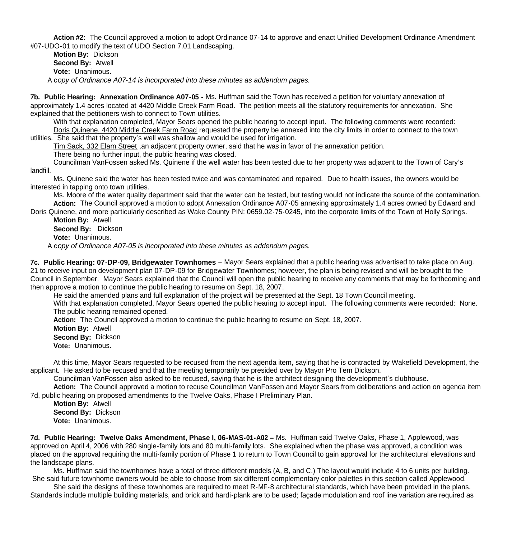**Action #2:** The Council approved a motion to adopt Ordinance 07-14 to approve and enact Unified Development Ordinance Amendment #07-UDO-01 to modify the text of UDO Section 7.01 Landscaping.

 **Motion By:** Dickson **Second By:** Atwell **Vote:** Unanimous. A c*opy of Ordinance A07-14 is incorporated into these minutes as addendum pages.*

**7b. Public Hearing: Annexation Ordinance A07-05 -** Ms. Huffman said the Town has received a petition for voluntary annexation of approximately 1.4 acres located at 4420 Middle Creek Farm Road. The petition meets all the statutory requirements for annexation. She explained that the petitioners wish to connect to Town utilities.

With that explanation completed, Mayor Sears opened the public hearing to accept input. The following comments were recorded: Doris Quinene, 4420 Middle Creek Farm Road requested the property be annexed into the city limits in order to connect to the town utilities. She said that the property's well was shallow and would be used for irrigation.

Tim Sack, 332 Elam Street ,an adjacent property owner, said that he was in favor of the annexation petition.

There being no further input, the public hearing was closed.

Councilman VanFossen asked Ms. Quinene if the well water has been tested due to her property was adjacent to the Town of Cary's landfill.

Ms. Quinene said the water has been tested twice and was contaminated and repaired. Due to health issues, the owners would be interested in tapping onto town utilities.

Ms. Moore of the water quality department said that the water can be tested, but testing would not indicate the source of the contamination.  **Action:** The Council approved a motion to adopt Annexation Ordinance A07-05 annexing approximately 1.4 acres owned by Edward and

Doris Quinene, and more particularly described as Wake County PIN: 0659.02-75-0245, into the corporate limits of the Town of Holly Springs. **Motion By:** Atwell

**Second By:** Dickson

**Vote:** Unanimous.

A c*opy of Ordinance A07-05 is incorporated into these minutes as addendum pages.*

**7c. Public Hearing: 07-DP-09, Bridgewater Townhomes –** Mayor Sears explained that a public hearing was advertised to take place on Aug. 21 to receive input on development plan 07-DP-09 for Bridgewater Townhomes; however, the plan is being revised and will be brought to the Council in September. Mayor Sears explained that the Council will open the public hearing to receive any comments that may be forthcoming and then approve a motion to continue the public hearing to resume on Sept. 18, 2007.

He said the amended plans and full explanation of the project will be presented at the Sept. 18 Town Council meeting.

With that explanation completed, Mayor Sears opened the public hearing to accept input. The following comments were recorded: None. The public hearing remained opened.

**Action:** The Council approved a motion to continue the public hearing to resume on Sept. 18, 2007.

 **Motion By:** Atwell **Second By:** Dickson

**Vote:** Unanimous.

At this time, Mayor Sears requested to be recused from the next agenda item, saying that he is contracted by Wakefield Development, the applicant. He asked to be recused and that the meeting temporarily be presided over by Mayor Pro Tem Dickson.

Councilman VanFossen also asked to be recused, saying that he is the architect designing the development's clubhouse.

 **Action:** The Council approved a motion to recuse Councilman VanFossen and Mayor Sears from deliberations and action on agenda item 7d, public hearing on proposed amendments to the Twelve Oaks, Phase I Preliminary Plan.

 **Motion By:** Atwell **Second By:** Dickson **Vote:** Unanimous.

**7d. Public Hearing: Twelve Oaks Amendment, Phase I, 06-MAS-01-A02 –** Ms. Huffman said Twelve Oaks, Phase 1, Applewood, was approved on April 4, 2006 with 280 single-family lots and 80 multi-family lots. She explained when the phase was approved, a condition was placed on the approval requiring the multi-family portion of Phase 1 to return to Town Council to gain approval for the architectural elevations and the landscape plans.

 Ms. Huffman said the townhomes have a total of three different models (A, B, and C.) The layout would include 4 to 6 units per building. She said future townhome owners would be able to choose from six different complementary color palettes in this section called Applewood.

 She said the designs of these townhomes are required to meet R-MF-8 architectural standards, which have been provided in the plans. Standards include multiple building materials, and brick and hardi-plank are to be used; façade modulation and roof line variation are required as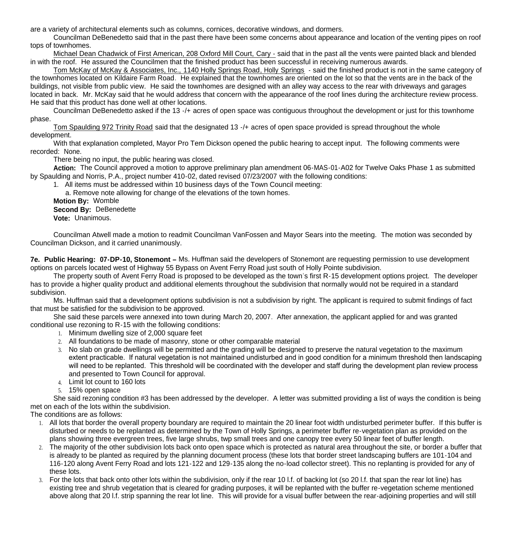are a variety of architectural elements such as columns, cornices, decorative windows, and dormers.

Councilman DeBenedetto said that in the past there have been some concerns about appearance and location of the venting pipes on roof tops of townhomes.

Michael Dean Chadwick of First American, 208 Oxford Mill Court, Cary - said that in the past all the vents were painted black and blended in with the roof. He assured the Councilmen that the finished product has been successful in receiving numerous awards.

Tom McKay of McKay & Associates, Inc., 1140 Holly Springs Road, Holly Springs - said the finished product is not in the same category of the townhomes located on Kildaire Farm Road. He explained that the townhomes are oriented on the lot so that the vents are in the back of the buildings, not visible from public view. He said the townhomes are designed with an alley way access to the rear with driveways and garages located in back. Mr. McKay said that he would address that concern with the appearance of the roof lines during the architecture review process. He said that this product has done well at other locations.

Councilman DeBenedetto asked if the 13 -/+ acres of open space was contiguous throughout the development or just for this townhome phase.

Tom Spaulding 972 Trinity Road said that the designated 13 -/+ acres of open space provided is spread throughout the whole development.

 With that explanation completed, Mayor Pro Tem Dickson opened the public hearing to accept input. The following comments were recorded: None.

There being no input, the public hearing was closed.

 **Action:** The Council approved a motion to approve preliminary plan amendment 06-MAS-01-A02 for Twelve Oaks Phase 1 as submitted by Spaulding and Norris, P.A., project number 410-02, dated revised 07/23/2007 with the following conditions:

1. All items must be addressed within 10 business days of the Town Council meeting:

a. Remove note allowing for change of the elevations of the town homes.

 **Motion By:** Womble **Second By:** DeBenedette

**Vote:** Unanimous.

Councilman Atwell made a motion to readmit Councilman VanFossen and Mayor Sears into the meeting. The motion was seconded by Councilman Dickson, and it carried unanimously.

**7e. Public Hearing: 07-DP-10, Stonemont –** Ms. Huffman said the developers of Stonemont are requesting permission to use development options on parcels located west of Highway 55 Bypass on Avent Ferry Road just south of Holly Pointe subdivision.

 The property south of Avent Ferry Road is proposed to be developed as the town's first R-15 development options project. The developer has to provide a higher quality product and additional elements throughout the subdivision that normally would not be required in a standard subdivision.

 Ms. Huffman said that a development options subdivision is not a subdivision by right. The applicant is required to submit findings of fact that must be satisfied for the subdivision to be approved.

She said these parcels were annexed into town during March 20, 2007. After annexation, the applicant applied for and was granted conditional use rezoning to R-15 with the following conditions:

- 1. Minimum dwelling size of 2,000 square feet
- 2. All foundations to be made of masonry, stone or other comparable material
- 3. No slab on grade dwellings will be permitted and the grading will be designed to preserve the natural vegetation to the maximum extent practicable. If natural vegetation is not maintained undisturbed and in good condition for a minimum threshold then landscaping will need to be replanted. This threshold will be coordinated with the developer and staff during the development plan review process and presented to Town Council for approval.
- 4. Limit lot count to 160 lots
- 5. 15% open space

 She said rezoning condition #3 has been addressed by the developer. A letter was submitted providing a list of ways the condition is being met on each of the lots within the subdivision.

The conditions are as follows:

- 1. All lots that border the overall property boundary are required to maintain the 20 linear foot width undisturbed perimeter buffer. If this buffer is disturbed or needs to be replanted as determined by the Town of Holly Springs, a perimeter buffer re-vegetation plan as provided on the plans showing three evergreen trees, five large shrubs, twp small trees and one canopy tree every 50 linear feet of buffer length.
- 2. The majority of the other subdivision lots back onto open space which is protected as natural area throughout the site, or border a buffer that is already to be planted as required by the planning document process (these lots that border street landscaping buffers are 101-104 and 116-120 along Avent Ferry Road and lots 121-122 and 129-135 along the no-load collector street). This no replanting is provided for any of these lots.
- 3. For the lots that back onto other lots within the subdivision, only if the rear 10 l.f. of backing lot (so 20 l.f. that span the rear lot line) has existing tree and shrub vegetation that is cleared for grading purposes, it will be replanted with the buffer re-vegetation scheme mentioned above along that 20 l.f. strip spanning the rear lot line. This will provide for a visual buffer between the rear-adjoining properties and will still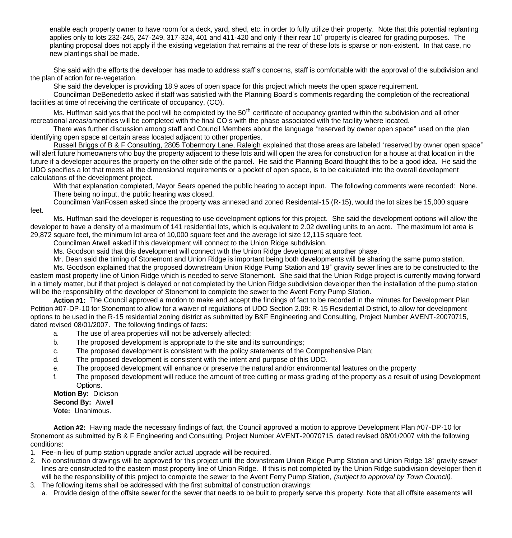enable each property owner to have room for a deck, yard, shed, etc. in order to fully utilize their property. Note that this potential replanting applies only to lots 232-245, 247-249, 317-324, 401 and 411-420 and only if their rear 10' property is cleared for grading purposes. The planting proposal does not apply if the existing vegetation that remains at the rear of these lots is sparse or non-existent. In that case, no new plantings shall be made.

 She said with the efforts the developer has made to address staff's concerns, staff is comfortable with the approval of the subdivision and the plan of action for re-vegetation.

She said the developer is providing 18.9 aces of open space for this project which meets the open space requirement.

 Councilman DeBenedetto asked if staff was satisfied with the Planning Board's comments regarding the completion of the recreational facilities at time of receiving the certificate of occupancy, (CO).

Ms. Huffman said ves that the pool will be completed by the 50<sup>th</sup> certificate of occupancy granted within the subdivision and all other recreational areas/amenities will be completed with the final CO's with the phase associated with the facility where located.

 There was further discussion among staff and Council Members about the language "reserved by owner open space" used on the plan identifying open space at certain areas located adjacent to other properties.

Russell Briggs of B & F Consulting, 2805 Tobermory Lane, Raleigh explained that those areas are labeled "reserved by owner open space" will alert future homeowners who buy the property adjacent to these lots and will open the area for construction for a house at that location in the future if a developer acquires the property on the other side of the parcel. He said the Planning Board thought this to be a good idea. He said the UDO specifies a lot that meets all the dimensional requirements or a pocket of open space, is to be calculated into the overall development calculations of the development project.

With that explanation completed, Mayor Sears opened the public hearing to accept input. The following comments were recorded: None. There being no input, the public hearing was closed.

Councilman VanFossen asked since the property was annexed and zoned Residental-15 (R-15), would the lot sizes be 15,000 square feet.

Ms. Huffman said the developer is requesting to use development options for this project. She said the development options will allow the developer to have a density of a maximum of 141 residential lots, which is equivalent to 2.02 dwelling units to an acre. The maximum lot area is 29,872 square feet, the minimum lot area of 10,000 square feet and the average lot size 12,115 square feet.

Councilman Atwell asked if this development will connect to the Union Ridge subdivision.

Ms. Goodson said that this development will connect with the Union Ridge development at another phase.

Mr. Dean said the timing of Stonemont and Union Ridge is important being both developments will be sharing the same pump station.

Ms. Goodson explained that the proposed downstream Union Ridge Pump Station and 18" gravity sewer lines are to be constructed to the eastern most property line of Union Ridge which is needed to serve Stonemont. She said that the Union Ridge project is currently moving forward in a timely matter, but if that project is delayed or not completed by the Union Ridge subdivision developer then the installation of the pump station will be the responsibility of the developer of Stonemont to complete the sewer to the Avent Ferry Pump Station.

 **Action #1:** The Council approved a motion to make and accept the findings of fact to be recorded in the minutes for Development Plan Petition #07-DP-10 for Stonemont to allow for a waiver of regulations of UDO Section 2.09: R-15 Residential District, to allow for development options to be used in the R-15 residential zoning district as submitted by B&F Engineering and Consulting, Project Number AVENT-20070715, dated revised 08/01/2007. The following findings of facts:

- a. The use of area properties will not be adversely affected;
- b. The proposed development is appropriate to the site and its surroundings;
- c. The proposed development is consistent with the policy statements of the Comprehensive Plan;
- d. The proposed development is consistent with the intent and purpose of this UDO.
- e. The proposed development will enhance or preserve the natural and/or environmental features on the property
- f. The proposed development will reduce the amount of tree cutting or mass grading of the property as a result of using Development Options.

#### **Motion By:** Dickson **Second By:** Atwell

**Vote:** Unanimous.

 **Action #2:** Having made the necessary findings of fact, the Council approved a motion to approve Development Plan #07-DP-10 for Stonemont as submitted by B & F Engineering and Consulting, Project Number AVENT-20070715, dated revised 08/01/2007 with the following conditions:

- 1. Fee-in-lieu of pump station upgrade and/or actual upgrade will be required.
- 2. No construction drawings will be approved for this project until the downstream Union Ridge Pump Station and Union Ridge 18" gravity sewer lines are constructed to the eastern most property line of Union Ridge. If this is not completed by the Union Ridge subdivision developer then it will be the responsibility of this project to complete the sewer to the Avent Ferry Pump Station, *(subject to approval by Town Council)*.
- 3. The following items shall be addressed with the first submittal of construction drawings:
	- a. Provide design of the offsite sewer for the sewer that needs to be built to properly serve this property. Note that all offsite easements will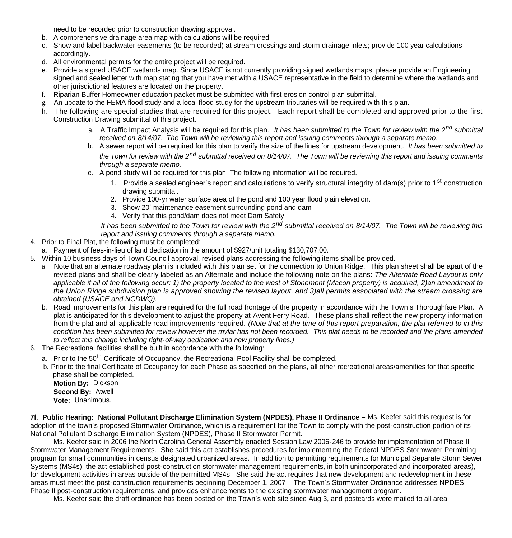need to be recorded prior to construction drawing approval.

- b. A comprehensive drainage area map with calculations will be required
- c. Show and label backwater easements (to be recorded) at stream crossings and storm drainage inlets; provide 100 year calculations accordingly.
- d. All environmental permits for the entire project will be required.
- e. Provide a signed USACE wetlands map. Since USACE is not currently providing signed wetlands maps, please provide an Engineering signed and sealed letter with map stating that you have met with a USACE representative in the field to determine where the wetlands and other jurisdictional features are located on the property.
- f. Riparian Buffer Homeowner education packet must be submitted with first erosion control plan submittal.
- g. An update to the FEMA flood study and a local flood study for the upstream tributaries will be required with this plan.
- h. The following are special studies that are required for this project. Each report shall be completed and approved prior to the first Construction Drawing submittal of this project.
	- a. A Traffic Impact Analysis will be required for this plan. *It has been submitted to the Town for review with the 2nd submittal received on 8/14/07. The Town will be reviewing this report and issuing comments through a separate memo.*
	- b. A sewer report will be required for this plan to verify the size of the lines for upstream development. *It has been submitted to the Town for review with the 2nd submittal received on 8/14/07. The Town will be reviewing this report and issuing comments through a separate memo.*
	- c. A pond study will be required for this plan. The following information will be required.
		- 1. Provide a sealed engineer's report and calculations to verify structural integrity of dam(s) prior to 1<sup>st</sup> construction drawing submittal.
		- 2. Provide 100-yr water surface area of the pond and 100 year flood plain elevation.
		- 3. Show 20' maintenance easement surrounding pond and dam
		- 4. Verify that this pond/dam does not meet Dam Safety

*It has been submitted to the Town for review with the 2nd submittal received on 8/14/07. The Town will be reviewing this report and issuing comments through a separate memo.*

- 4. Prior to Final Plat, the following must be completed:
- a. Payment of fees-in-lieu of land dedication in the amount of \$927/unit totaling \$130,707.00.
- 5. Within 10 business days of Town Council approval, revised plans addressing the following items shall be provided.
	- *a.* Note that an alternate roadway plan is included with this plan set for the connection to Union Ridge. This plan sheet shall be apart of the revised plans and shall be clearly labeled as an Alternate and include the following note on the plans: *The Alternate Road Layout is only applicable if all of the following occur: 1) the property located to the west of Stonemont (Macon property) is acquired, 2)an amendment to the Union Ridge subdivision plan is approved showing the revised layout, and 3)all permits associated with the stream crossing are obtained (USACE and NCDWQ).*
	- b. Road improvements for this plan are required for the full road frontage of the property in accordance with the Town's Thoroughfare Plan. A plat is anticipated for this development to adjust the property at Avent Ferry Road. These plans shall reflect the new property information from the plat and all applicable road improvements required. *(Note that at the time of this report preparation, the plat referred to in this condition has been submitted for review however the mylar has not been recorded. This plat needs to be recorded and the plans amended to reflect this change including right-of-way dedication and new property lines.)*
- 6. The Recreational facilities shall be built in accordance with the following:
	- a. Prior to the 50<sup>th</sup> Certificate of Occupancy, the Recreational Pool Facility shall be completed.
	- b. Prior to the final Certificate of Occupancy for each Phase as specified on the plans, all other recreational areas/amenities for that specific phase shall be completed.

 **Motion By:** Dickson **Second By:** Atwell **Vote:** Unanimous.

**7f. Public Hearing: National Pollutant Discharge Elimination System (NPDES), Phase II Ordinance –** Ms. Keefer said this request is for adoption of the town's proposed Stormwater Ordinance, which is a requirement for the Town to comply with the post-construction portion of its National Pollutant Discharge Elimination System (NPDES), Phase II Stormwater Permit.

 Ms. Keefer said in 2006 the North Carolina General Assembly enacted Session Law 2006-246 to provide for implementation of Phase II Stormwater Management Requirements. She said this act establishes procedures for implementing the Federal NPDES Stormwater Permitting program for small communities in census designated urbanized areas. In addition to permitting requirements for Municipal Separate Storm Sewer Systems (MS4s), the act established post-construction stormwater management requirements, in both unincorporated and incorporated areas), for development activities in areas outside of the permitted MS4s. She said the act requires that new development and redevelopment in these areas must meet the post-construction requirements beginning December 1, 2007. The Town's Stormwater Ordinance addresses NPDES Phase II post-construction requirements, and provides enhancements to the existing stormwater management program.

Ms. Keefer said the draft ordinance has been posted on the Town's web site since Aug 3, and postcards were mailed to all area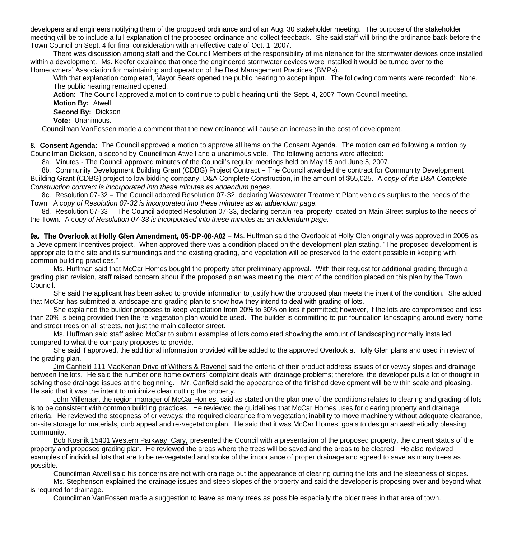developers and engineers notifying them of the proposed ordinance and of an Aug. 30 stakeholder meeting. The purpose of the stakeholder meeting will be to include a full explanation of the proposed ordinance and collect feedback. She said staff will bring the ordinance back before the Town Council on Sept. 4 for final consideration with an effective date of Oct. 1, 2007.

There was discussion among staff and the Council Members of the responsibility of maintenance for the stormwater devices once installed within a development. Ms. Keefer explained that once the engineered stormwater devices were installed it would be turned over to the Homeowners' Association for maintaining and operation of the Best Management Practices (BMPs).

With that explanation completed, Mayor Sears opened the public hearing to accept input. The following comments were recorded: None. The public hearing remained opened.

 **Action:** The Council approved a motion to continue to public hearing until the Sept. 4, 2007 Town Council meeting.

**Motion By:** Atwell

**Second By:** Dickson

**Vote:** Unanimous.

Councilman VanFossen made a comment that the new ordinance will cause an increase in the cost of development.

**8. Consent Agenda:** The Council approved a motion to approve all items on the Consent Agenda. The motion carried following a motion by Councilman Dickson, a second by Councilman Atwell and a unanimous vote. The following actions were affected:

8a. Minutes - The Council approved minutes of the Council's regular meetings held on May 15 and June 5, 2007.

 8b. Community Development Building Grant (CDBG) Project Contract – The Council awarded the contract for Community Development Building Grant (CDBG) project to low bidding company, D&A Complete Construction, in the amount of \$55,025.A c*opy of the D&A Complete Construction contract is incorporated into these minutes as addendum pages.*

 8c. Resolution 07-32 – The Council adopted Resolution 07-32, declaring Wastewater Treatment Plant vehicles surplus to the needs of the Town. A c*opy of Resolution 07-32 is incorporated into these minutes as an addendum page.*

8d. Resolution 07-33 – The Council adopted Resolution 07-33, declaring certain real property located on Main Street surplus to the needs of the Town. A c*opy of Resolution 07-33 is incorporated into these minutes as an addendum page.*

9a. The Overlook at Holly Glen Amendment, 05-DP-08-A02 - Ms. Huffman said the Overlook at Holly Glen originally was approved in 2005 as a Development Incentives project. When approved there was a condition placed on the development plan stating, "The proposed development is appropriate to the site and its surroundings and the existing grading, and vegetation will be preserved to the extent possible in keeping with common building practices."

 Ms. Huffman said that McCar Homes bought the property after preliminary approval. With their request for additional grading through a grading plan revision, staff raised concern about if the proposed plan was meeting the intent of the condition placed on this plan by the Town Council.

 She said the applicant has been asked to provide information to justify how the proposed plan meets the intent of the condition. She added that McCar has submitted a landscape and grading plan to show how they intend to deal with grading of lots.

 She explained the builder proposes to keep vegetation from 20% to 30% on lots if permitted; however, if the lots are compromised and less than 20% is being provided then the re-vegetation plan would be used. The builder is committing to put foundation landscaping around every home and street trees on all streets, not just the main collector street.

 Ms. Huffman said staff asked McCar to submit examples of lots completed showing the amount of landscaping normally installed compared to what the company proposes to provide.

 She said if approved, the additional information provided will be added to the approved Overlook at Holly Glen plans and used in review of the grading plan.

 Jim Canfield 111 MacKenan Drive of Withers & Ravenel said the criteria of their product address issues of driveway slopes and drainage between the lots. He said the number one home owners' complaint deals with drainage problems; therefore, the developer puts a lot of thought in solving those drainage issues at the beginning. Mr. Canfield said the appearance of the finished development will be within scale and pleasing. He said that it was the intent to minimize clear cutting the property.

John Millenaar, the region manager of McCar Homes, said as stated on the plan one of the conditions relates to clearing and grading of lots is to be consistent with common building practices. He reviewed the guidelines that McCar Homes uses for clearing property and drainage criteria. He reviewed the steepness of driveways; the required clearance from vegetation; inability to move machinery without adequate clearance, on-site storage for materials, curb appeal and re-vegetation plan. He said that it was McCar Homes' goals to design an aesthetically pleasing community.

 Bob Kosnik 15401 Western Parkway, Cary, presented the Council with a presentation of the proposed property, the current status of the property and proposed grading plan. He reviewed the areas where the trees will be saved and the areas to be cleared. He also reviewed examples of individual lots that are to be re-vegetated and spoke of the importance of proper drainage and agreed to save as many trees as possible.

 Councilman Atwell said his concerns are not with drainage but the appearance of clearing cutting the lots and the steepness of slopes. Ms. Stephenson explained the drainage issues and steep slopes of the property and said the developer is proposing over and beyond what is required for drainage.

Councilman VanFossen made a suggestion to leave as many trees as possible especially the older trees in that area of town.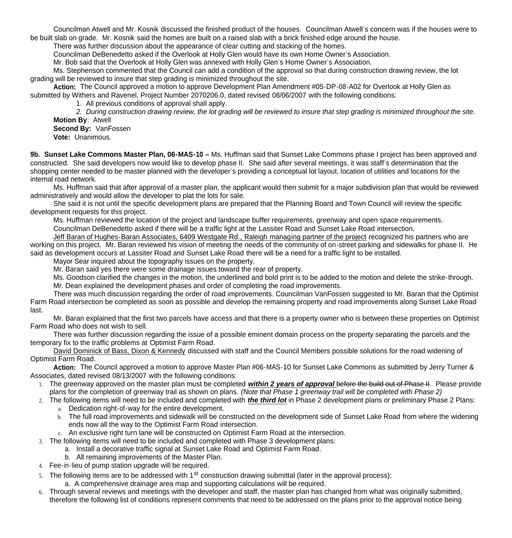Councilman Atwell and Mr. Kosnik discussed the finished product of the houses. Councilman Atwell's concern was if the houses were to be built slab on grade. Mr. Kosnik said the homes are built on a raised slab with a brick finished edge around the house.

There was further discussion about the appearance of clear cutting and stacking of the homes.

Councilman DeBenedetto asked if the Overlook at Holly Glen would have its own Home Owner's Association.

Mr. Bob said that the Overlook at Holly Glen was annexed with Holly Glen's Home Owner's Association.

 Ms. Stephenson commented that the Council can add a condition of the approval so that during construction drawing review, the lot grading will be reviewed to insure that step grading is minimized throughout the site.

**Action:** The Council approved a motion to approve Development Plan Amendment #05-DP-08-A02 for Overlook at Holly Glen as submitted by Withers and Ravenel, Project Number 2070206.0, dated revised 08/06/2007 with the following conditions:

1. All previous conditions of approval shall apply.

*2. During construction drawing review, the lot grading will be reviewed to insure that step grading is minimized throughout the site.* **Motion By**: Atwell

**Second By:** VanFossen

**Vote:** Unanimous.

**9b. Sunset Lake Commons Master Plan, 06-MAS-10 –** Ms. Huffman said that Sunset Lake Commons phase I project has been approved and constructed. She said developers now would like to develop phase II. She said after several meetings, it was staff's determination that the shopping center needed to be master planned with the developer's providing a conceptual lot layout, location of utilities and locations for the internal road network.

 Ms. Huffman said that after approval of a master plan, the applicant would then submit for a major subdivision plan that would be reviewed administratively and would allow the developer to plat the lots for sale.

 She said it is not until the specific development plans are prepared that the Planning Board and Town Council will review the specific development requests for this project.

Ms. Huffman reviewed the location of the project and landscape buffer requirements, greenway and open space requirements.

Councilman DeBenedetto asked if there will be a traffic light at the Lassiter Road and Sunset Lake Road intersection.

 Jeff Baran of Hughes-Baran Associates, 6409 Westgate Rd., Raleigh managing partner of the project recognized his partners who are working on this project. Mr. Baran reviewed his vision of meeting the needs of the community of on-street parking and sidewalks for phase II. He said as development occurs at Lassiter Road and Sunset Lake Road there will be a need for a traffic light to be installed.

Mayor Sear inquired about the topography issues on the property.

Mr. Baran said yes there were some drainage issues toward the rear of property.

Ms. Goodson clarified the changes in the motion, the underlined and bold print is to be added to the motion and delete the strike-through.

Mr. Dean explained the development phases and order of completing the road improvements.

 There was much discussion regarding the order of road improvements. Councilman VanFossen suggested to Mr. Baran that the Optimist Farm Road intersection be completed as soon as possible and develop the remaining property and road improvements along Sunset Lake Road last.

 Mr. Baran explained that the first two parcels have access and that there is a property owner who is between these properties on Optimist Farm Road who does not wish to sell.

 There was further discussion regarding the issue of a possible eminent domain process on the property separating the parcels and the temporary fix to the traffic problems at Optimist Farm Road.

 David Dominick of Bass, Dixon & Kennedy discussed with staff and the Council Members possible solutions for the road widening of Optimist Farm Road.

 **Action:** The Council approved a motion to approve Master Plan #06-MAS-10 for Sunset Lake Commons as submitted by Jerry Turner & Associates, dated revised 08/13/2007 with the following conditions:

- 1. The greenway approved on the master plan must be completed *within 2 years of approval* before the build out of Phase II. Please provide plans for the completion of greenway trail as shown on plans. *(Note that Phase 1 greenway trail will be completed with Phase 2)*
- 2. The following items will need to be included and completed with *the third lot* in Phase 2 development plans or preliminary Phase 2 Plans:
	- a. Dedication right-of-way for the entire development.
	- b. The full road improvements and sidewalk will be constructed on the development side of Sunset Lake Road from where the widening ends now all the way to the Optimist Farm Road intersection.
	- c. An exclusive right turn lane will be constructed on Optimist Farm Road at the intersection.

3. The following items will need to be included and completed with Phase 3 development plans:

- a. Install a decorative traffic signal at Sunset Lake Road and Optimist Farm Road.
- b. All remaining improvements of the Master Plan.
- 4. Fee-in-lieu of pump station upgrade will be required.
- 5. The following items are to be addressed with 1<sup>st</sup> construction drawing submittal (later in the approval process):
	- a. A comprehensive drainage area map and supporting calculations will be required.
- 6. Through several reviews and meetings with the developer and staff, the master plan has changed from what was originally submitted, therefore the following list of conditions represent comments that need to be addressed on the plans prior to the approval notice being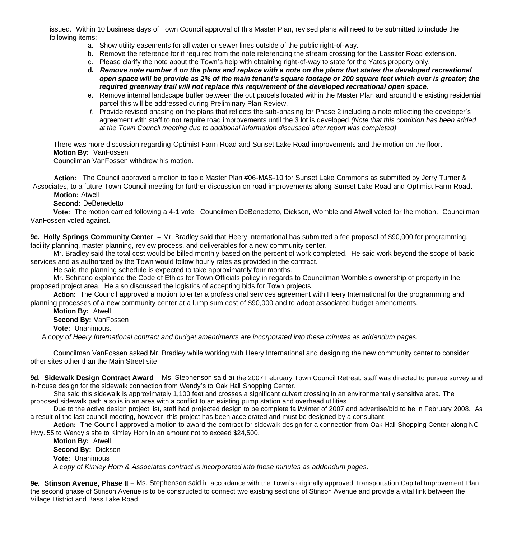issued. Within 10 business days of Town Council approval of this Master Plan, revised plans will need to be submitted to include the following items:

- a. Show utility easements for all water or sewer lines outside of the public right-of-way.
- b. Remove the reference for if required from the note referencing the stream crossing for the Lassiter Road extension.
- c. Please clarify the note about the Town's help with obtaining right-of-way to state for the Yates property only.
- **d.** *Remove note number 4 on the plans and replace with a note on the plans that states the developed recreational open space will be provide as 2% of the main tenant's square footage or 200 square feet which ever is greater; the required greenway trail will not replace this requirement of the developed recreational open space.*
- e. Remove internal landscape buffer between the out parcels located within the Master Plan and around the existing residential parcel this will be addressed during Preliminary Plan Review.
- *f.* Provide revised phasing on the plans that reflects the sub-phasing for Phase 2 including a note reflecting the developer's agreement with staff to not require road improvements until the 3 lot is developed.*(Note that this condition has been added at the Town Council meeting due to additional information discussed after report was completed).*

 There was more discussion regarding Optimist Farm Road and Sunset Lake Road improvements and the motion on the floor. **Motion By:** VanFossen

Councilman VanFossen withdrew his motion.

 **Action:** The Council approved a motion to table Master Plan #06-MAS-10 for Sunset Lake Commons as submitted by Jerry Turner & Associates, to a future Town Council meeting for further discussion on road improvements along Sunset Lake Road and Optimist Farm Road.

 **Motion:** Atwell

 **Second:** DeBenedetto

**Vote:** The motion carried following a 4-1 vote. Councilmen DeBenedetto, Dickson, Womble and Atwell voted for the motion. Councilman VanFossen voted against.

**9c. Holly Springs Community Center –** Mr. Bradley said that Heery International has submitted a fee proposal of \$90,000 for programming, facility planning, master planning, review process, and deliverables for a new community center.

 Mr. Bradley said the total cost would be billed monthly based on the percent of work completed. He said work beyond the scope of basic services and as authorized by the Town would follow hourly rates as provided in the contract.

He said the planning schedule is expected to take approximately four months.

Mr. Schifano explained the Code of Ethics for Town Officials policy in regards to Councilman Womble's ownership of property in the proposed project area. He also discussed the logistics of accepting bids for Town projects.

**Action:** The Council approved a motion to enter a professional services agreement with Heery International for the programming and planning processes of a new community center at a lump sum cost of \$90,000 and to adopt associated budget amendments.

**Motion By:** Atwell

**Second By:** VanFossen

**Vote:** Unanimous.

A c*opy of Heery International contract and budget amendments are incorporated into these minutes as addendum pages.*

 Councilman VanFossen asked Mr. Bradley while working with Heery International and designing the new community center to consider other sites other than the Main Street site.

**9d. Sidewalk Design Contract Award** – Ms. Stephenson said at the 2007 February Town Council Retreat, staff was directed to pursue survey and in-house design for the sidewalk connection from Wendy's to Oak Hall Shopping Center.

 She said this sidewalk is approximately 1,100 feet and crosses a significant culvert crossing in an environmentally sensitive area. The proposed sidewalk path also is in an area with a conflict to an existing pump station and overhead utilities.

 Due to the active design project list, staff had projected design to be complete fall/winter of 2007 and advertise/bid to be in February 2008. As a result of the last council meeting, however, this project has been accelerated and must be designed by a consultant.

 **Action:** The Council approved a motion to award the contract for sidewalk design for a connection from Oak Hall Shopping Center along NC Hwy. 55 to Wendy's site to Kimley Horn in an amount not to exceed \$24,500.

**Motion By:** Atwell **Second By:** Dickson **Vote:** Unanimous A c*opy of Kimley Horn & Associates contract is incorporated into these minutes as addendum pages.*

**9e. Stinson Avenue, Phase II** – Ms. Stephenson said in accordance with the Town's originally approved Transportation Capital Improvement Plan, the second phase of Stinson Avenue is to be constructed to connect two existing sections of Stinson Avenue and provide a vital link between the Village District and Bass Lake Road.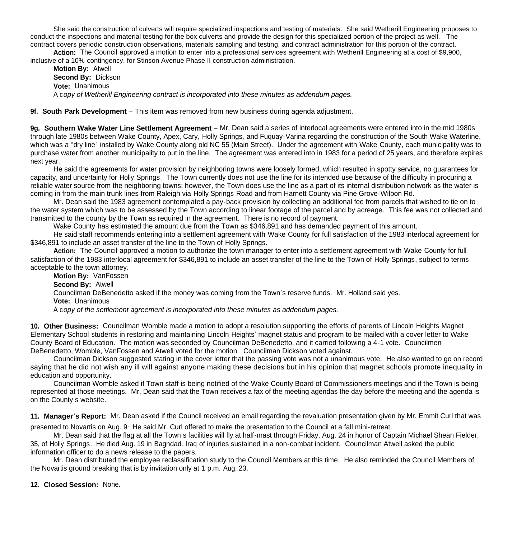She said the construction of culverts will require specialized inspections and testing of materials. She said Wetherill Engineering proposes to conduct the inspections and material testing for the box culverts and provide the design for this specialized portion of the project as well. The contract covers periodic construction observations, materials sampling and testing, and contract administration for this portion of the contract.

 **Action:** The Council approved a motion to enter into a professional services agreement with Wetherill Engineering at a cost of \$9,900, inclusive of a 10% contingency, for Stinson Avenue Phase II construction administration.

**Motion By:** Atwell **Second By:** Dickson **Vote:** Unanimous A c*opy of Wetherill Engineering contract is incorporated into these minutes as addendum pages.*

**9f. South Park Development** – This item was removed from new business during agenda adjustment.

**9g. Southern Wake Water Line Settlement Agreement** – Mr. Dean said a series of interlocal agreements were entered into in the mid 1980s through late 1980s between Wake County, Apex, Cary, Holly Springs, and Fuquay-Varina regarding the construction of the South Wake Waterline, which was a "dry line" installed by Wake County along old NC 55 (Main Street). Under the agreement with Wake County, each municipality was to purchase water from another municipality to put in the line. The agreement was entered into in 1983 for a period of 25 years, and therefore expires next year.

He said the agreements for water provision by neighboring towns were loosely formed, which resulted in spotty service, no guarantees for capacity, and uncertainty for Holly Springs. The Town currently does not use the line for its intended use because of the difficulty in procuring a reliable water source from the neighboring towns; however, the Town does use the line as a part of its internal distribution network as the water is coming in from the main trunk lines from Raleigh via Holly Springs Road and from Harnett County via Pine Grove-Wilbon Rd.

Mr. Dean said the 1983 agreement contemplated a pay-back provision by collecting an additional fee from parcels that wished to tie on to the water system which was to be assessed by the Town according to linear footage of the parcel and by acreage. This fee was not collected and transmitted to the county by the Town as required in the agreement. There is no record of payment.

Wake County has estimated the amount due from the Town as \$346,891 and has demanded payment of this amount.

He said staff recommends entering into a settlement agreement with Wake County for full satisfaction of the 1983 interlocal agreement for \$346,891 to include an asset transfer of the line to the Town of Holly Springs.

**Action:** The Council approved a motion to authorize the town manager to enter into a settlement agreement with Wake County for full satisfaction of the 1983 interlocal agreement for \$346,891 to include an asset transfer of the line to the Town of Holly Springs, subject to terms acceptable to the town attorney.

**Motion By:** VanFossen

**Second By:** Atwell

Councilman DeBenedetto asked if the money was coming from the Town's reserve funds. Mr. Holland said yes.

**Vote:** Unanimous

A c*opy of the settlement agreement is incorporated into these minutes as addendum pages.*

**10. Other Business:** Councilman Womble made a motion to adopt a resolution supporting the efforts of parents of Lincoln Heights Magnet Elementary School students in restoring and maintaining Lincoln Heights' magnet status and program to be mailed with a cover letter to Wake County Board of Education. The motion was seconded by Councilman DeBenedetto, and it carried following a 4-1 vote. Councilmen DeBenedetto, Womble, VanFossen and Atwell voted for the motion. Councilman Dickson voted against.

 Councilman Dickson suggested stating in the cover letter that the passing vote was not a unanimous vote. He also wanted to go on record saying that he did not wish any ill will against anyone making these decisions but in his opinion that magnet schools promote inequality in education and opportunity.

Councilman Womble asked if Town staff is being notified of the Wake County Board of Commissioners meetings and if the Town is being represented at those meetings. Mr. Dean said that the Town receives a fax of the meeting agendas the day before the meeting and the agenda is on the County's website.

**11. Manager's Report:** Mr. Dean asked if the Council received an email regarding the revaluation presentation given by Mr. Emmit Curl that was

presented to Novartis on Aug. 9. He said Mr. Curl offered to make the presentation to the Council at a fall mini-retreat.

Mr. Dean said that the flag at all the Town's facilities will fly at half-mast through Friday, Aug. 24 in honor of Captain Michael Shean Fielder, 35, of Holly Springs. He died Aug. 19 in Baghdad, Iraq of injuries sustained in a non-combat incident. Councilman Atwell asked the public information officer to do a news release to the papers.

 Mr. Dean distributed the employee reclassification study to the Council Members at this time. He also reminded the Council Members of the Novartis ground breaking that is by invitation only at 1 p.m. Aug. 23.

### **12. Closed Session:** None.